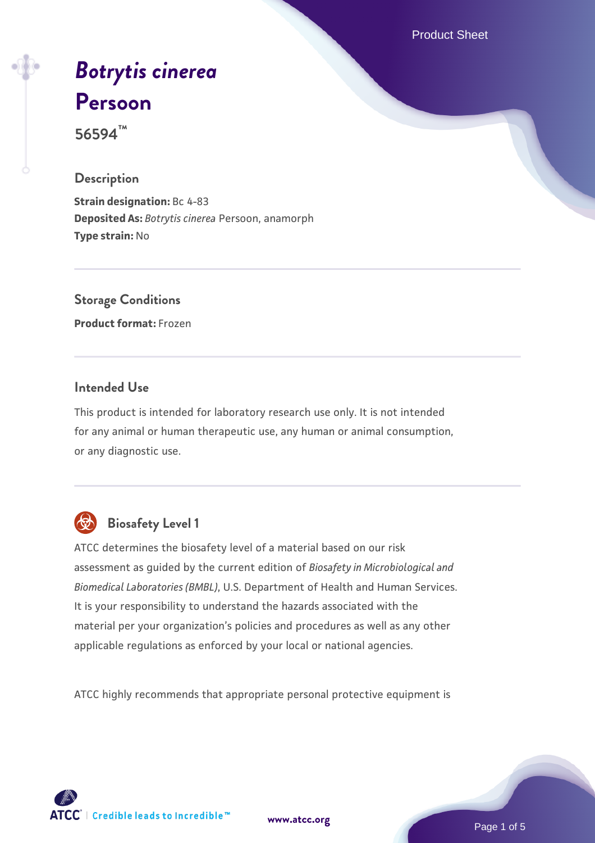Product Sheet

# *[Botrytis cinerea](https://www.atcc.org/products/56594)* **[Persoon](https://www.atcc.org/products/56594)**

**56594™**

#### **Description**

**Strain designation:** Bc 4-83 **Deposited As:** *Botrytis cinerea* Persoon, anamorph **Type strain:** No

## **Storage Conditions**

**Product format:** Frozen

#### **Intended Use**

This product is intended for laboratory research use only. It is not intended for any animal or human therapeutic use, any human or animal consumption, or any diagnostic use.



### **Biosafety Level 1**

ATCC determines the biosafety level of a material based on our risk assessment as guided by the current edition of *Biosafety in Microbiological and Biomedical Laboratories (BMBL)*, U.S. Department of Health and Human Services. It is your responsibility to understand the hazards associated with the material per your organization's policies and procedures as well as any other applicable regulations as enforced by your local or national agencies.

ATCC highly recommends that appropriate personal protective equipment is

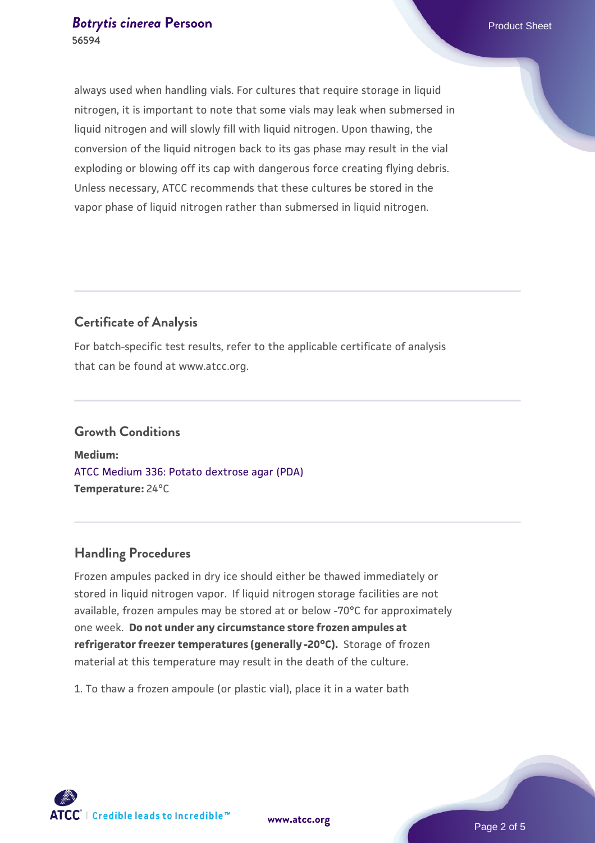always used when handling vials. For cultures that require storage in liquid nitrogen, it is important to note that some vials may leak when submersed in liquid nitrogen and will slowly fill with liquid nitrogen. Upon thawing, the conversion of the liquid nitrogen back to its gas phase may result in the vial exploding or blowing off its cap with dangerous force creating flying debris. Unless necessary, ATCC recommends that these cultures be stored in the vapor phase of liquid nitrogen rather than submersed in liquid nitrogen.

#### **Certificate of Analysis**

For batch-specific test results, refer to the applicable certificate of analysis that can be found at www.atcc.org.

### **Growth Conditions**

**Medium:**  [ATCC Medium 336: Potato dextrose agar \(PDA\)](https://www.atcc.org/-/media/product-assets/documents/microbial-media-formulations/3/3/6/atcc-medium-336.pdf?rev=d9160ad44d934cd8b65175461abbf3b9) **Temperature:** 24°C

#### **Handling Procedures**

Frozen ampules packed in dry ice should either be thawed immediately or stored in liquid nitrogen vapor. If liquid nitrogen storage facilities are not available, frozen ampules may be stored at or below -70°C for approximately one week. **Do not under any circumstance store frozen ampules at refrigerator freezer temperatures (generally -20°C).** Storage of frozen material at this temperature may result in the death of the culture.

1. To thaw a frozen ampoule (or plastic vial), place it in a water bath

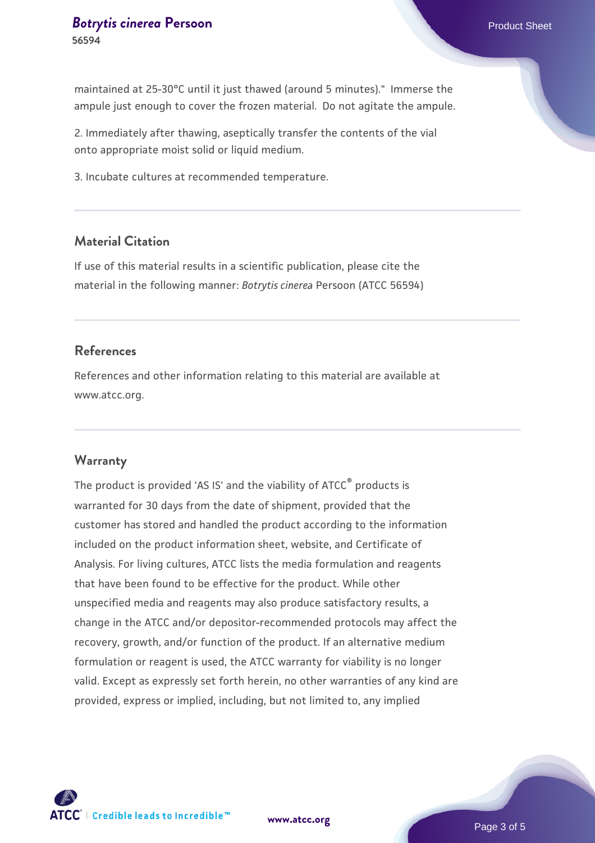maintained at 25-30°C until it just thawed (around 5 minutes)." Immerse the ampule just enough to cover the frozen material. Do not agitate the ampule.

2. Immediately after thawing, aseptically transfer the contents of the vial onto appropriate moist solid or liquid medium.

3. Incubate cultures at recommended temperature.

#### **Material Citation**

If use of this material results in a scientific publication, please cite the material in the following manner: *Botrytis cinerea* Persoon (ATCC 56594)

#### **References**

References and other information relating to this material are available at www.atcc.org.

#### **Warranty**

The product is provided 'AS IS' and the viability of ATCC<sup>®</sup> products is warranted for 30 days from the date of shipment, provided that the customer has stored and handled the product according to the information included on the product information sheet, website, and Certificate of Analysis. For living cultures, ATCC lists the media formulation and reagents that have been found to be effective for the product. While other unspecified media and reagents may also produce satisfactory results, a change in the ATCC and/or depositor-recommended protocols may affect the recovery, growth, and/or function of the product. If an alternative medium formulation or reagent is used, the ATCC warranty for viability is no longer valid. Except as expressly set forth herein, no other warranties of any kind are provided, express or implied, including, but not limited to, any implied



**[www.atcc.org](http://www.atcc.org)**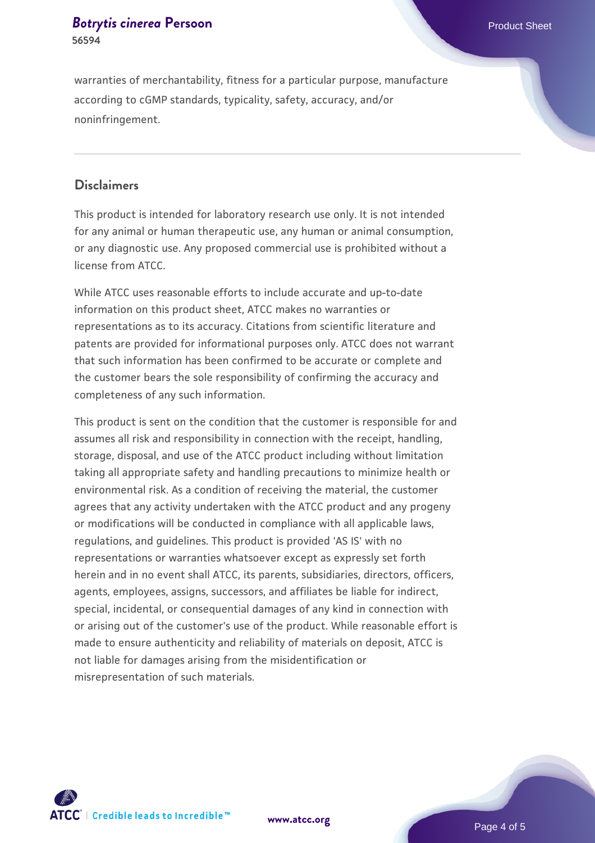#### **[Botrytis cinerea](https://www.atcc.org/products/56594) [Persoon](https://www.atcc.org/products/56594) Product Sheet Product Sheet Product Sheet 56594**

#### **Disclaimers**

This product is intended for laboratory research use only. It is not intended for any animal or human therapeutic use, any human or animal consumption, or any diagnostic use. Any proposed commercial use is prohibited without a license from ATCC.

While ATCC uses reasonable efforts to include accurate and up-to-date information on this product sheet, ATCC makes no warranties or representations as to its accuracy. Citations from scientific literature and patents are provided for informational purposes only. ATCC does not warrant that such information has been confirmed to be accurate or complete and the customer bears the sole responsibility of confirming the accuracy and completeness of any such information.

This product is sent on the condition that the customer is responsible for and assumes all risk and responsibility in connection with the receipt, handling, storage, disposal, and use of the ATCC product including without limitation taking all appropriate safety and handling precautions to minimize health or environmental risk. As a condition of receiving the material, the customer agrees that any activity undertaken with the ATCC product and any progeny or modifications will be conducted in compliance with all applicable laws, regulations, and guidelines. This product is provided 'AS IS' with no representations or warranties whatsoever except as expressly set forth herein and in no event shall ATCC, its parents, subsidiaries, directors, officers, agents, employees, assigns, successors, and affiliates be liable for indirect, special, incidental, or consequential damages of any kind in connection with or arising out of the customer's use of the product. While reasonable effort is made to ensure authenticity and reliability of materials on deposit, ATCC is not liable for damages arising from the misidentification or misrepresentation of such materials.



**[www.atcc.org](http://www.atcc.org)**

Page 4 of 5